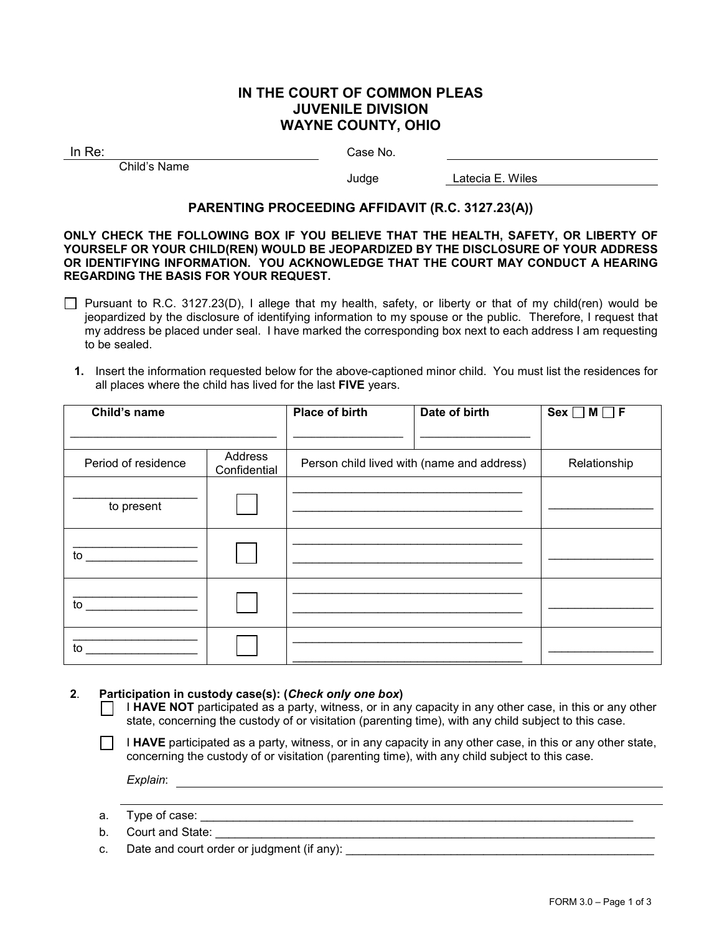# **IN THE COURT OF COMMON PLEAS JUVENILE DIVISION WAYNE COUNTY, OHIO**

In Re: Case No.

Child's Name

Judge Latecia E. Wiles

# **PARENTING PROCEEDING AFFIDAVIT (R.C. 3127.23(A))**

#### **ONLY CHECK THE FOLLOWING BOX IF YOU BELIEVE THAT THE HEALTH, SAFETY, OR LIBERTY OF YOURSELF OR YOUR CHILD(REN) WOULD BE JEOPARDIZED BY THE DISCLOSURE OF YOUR ADDRESS OR IDENTIFYING INFORMATION. YOU ACKNOWLEDGE THAT THE COURT MAY CONDUCT A HEARING REGARDING THE BASIS FOR YOUR REQUEST.**

- Pursuant to R.C. 3127.23(D), I allege that my health, safety, or liberty or that of my child(ren) would be jeopardized by the disclosure of identifying information to my spouse or the public. Therefore, I request that my address be placed under seal. I have marked the corresponding box next to each address I am requesting to be sealed.
	- **1.** Insert the information requested below for the above-captioned minor child. You must list the residences for all places where the child has lived for the last **FIVE** years.

| Child's name        |                         | <b>Place of birth</b> | Date of birth                              | $Sex \Box M \Box F$ |
|---------------------|-------------------------|-----------------------|--------------------------------------------|---------------------|
|                     |                         |                       |                                            |                     |
| Period of residence | Address<br>Confidential |                       | Person child lived with (name and address) | Relationship        |
| to present          |                         |                       |                                            |                     |
| to                  |                         |                       |                                            |                     |
| to                  |                         |                       |                                            |                     |
| to                  |                         |                       |                                            |                     |

#### **2**. **Participation in custody case(s): (***Check only one box***)**

- I **HAVE NOT** participated as a party, witness, or in any capacity in any other case, in this or any other state, concerning the custody of or visitation (parenting time), with any child subject to this case.
- I **HAVE** participated as a party, witness, or in any capacity in any other case, in this or any other state, concerning the custody of or visitation (parenting time), with any child subject to this case.

*Explain*:

- a. Type of case:  $\blacksquare$
- b. Court and State:
- c. Date and court order or judgment (if any): \_\_\_\_\_\_\_\_\_\_\_\_\_\_\_\_\_\_\_\_\_\_\_\_\_\_\_\_\_\_\_\_\_\_\_\_\_\_\_\_\_\_\_\_\_\_\_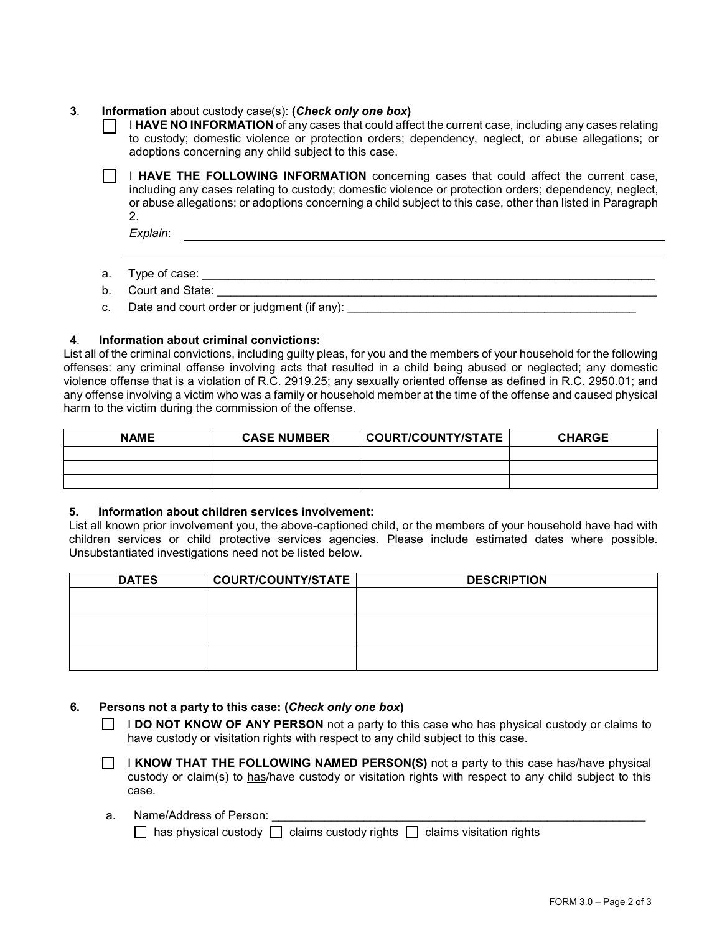## **3**. **Information** about custody case(s): **(***Check only one box***)**

|    | I HAVE NO INFORMATION of any cases that could affect the current case, including any cases relating<br>to custody; domestic violence or protection orders; dependency, neglect, or abuse allegations; or<br>adoptions concerning any child subject to this case.                                                   |
|----|--------------------------------------------------------------------------------------------------------------------------------------------------------------------------------------------------------------------------------------------------------------------------------------------------------------------|
|    | I HAVE THE FOLLOWING INFORMATION concerning cases that could affect the current case,<br>including any cases relating to custody; domestic violence or protection orders; dependency, neglect,<br>or abuse allegations; or adoptions concerning a child subject to this case, other than listed in Paragraph<br>2. |
| a. | Explain:<br>Type of case:                                                                                                                                                                                                                                                                                          |
| b. | Court and State:                                                                                                                                                                                                                                                                                                   |

c. Date and court order or judgment (if any):

#### **4**. **Information about criminal convictions:**

List all of the criminal convictions, including guilty pleas, for you and the members of your household for the following offenses: any criminal offense involving acts that resulted in a child being abused or neglected; any domestic violence offense that is a violation of R.C. 2919.25; any sexually oriented offense as defined in R.C. 2950.01; and any offense involving a victim who was a family or household member at the time of the offense and caused physical harm to the victim during the commission of the offense.

| <b>NAME</b> | <b>CASE NUMBER</b> | <b>COURT/COUNTY/STATE</b> | <b>CHARGE</b> |
|-------------|--------------------|---------------------------|---------------|
|             |                    |                           |               |
|             |                    |                           |               |
|             |                    |                           |               |

### **5. Information about children services involvement:**

List all known prior involvement you, the above-captioned child, or the members of your household have had with children services or child protective services agencies. Please include estimated dates where possible. Unsubstantiated investigations need not be listed below.

| <b>DATES</b> | <b>COURT/COUNTY/STATE</b> | <b>DESCRIPTION</b> |
|--------------|---------------------------|--------------------|
|              |                           |                    |
|              |                           |                    |
|              |                           |                    |
|              |                           |                    |
|              |                           |                    |
|              |                           |                    |

#### **6. Persons not a party to this case: (***Check only one box***)**

- **I DO NOT KNOW OF ANY PERSON** not a party to this case who has physical custody or claims to have custody or visitation rights with respect to any child subject to this case.
- **I KNOW THAT THE FOLLOWING NAMED PERSON(S)** not a party to this case has/have physical custody or claim(s) to has/have custody or visitation rights with respect to any child subject to this case.

### a. Name/Address of Person:

 $\Box$  has physical custody  $\Box$  claims custody rights  $\Box$  claims visitation rights